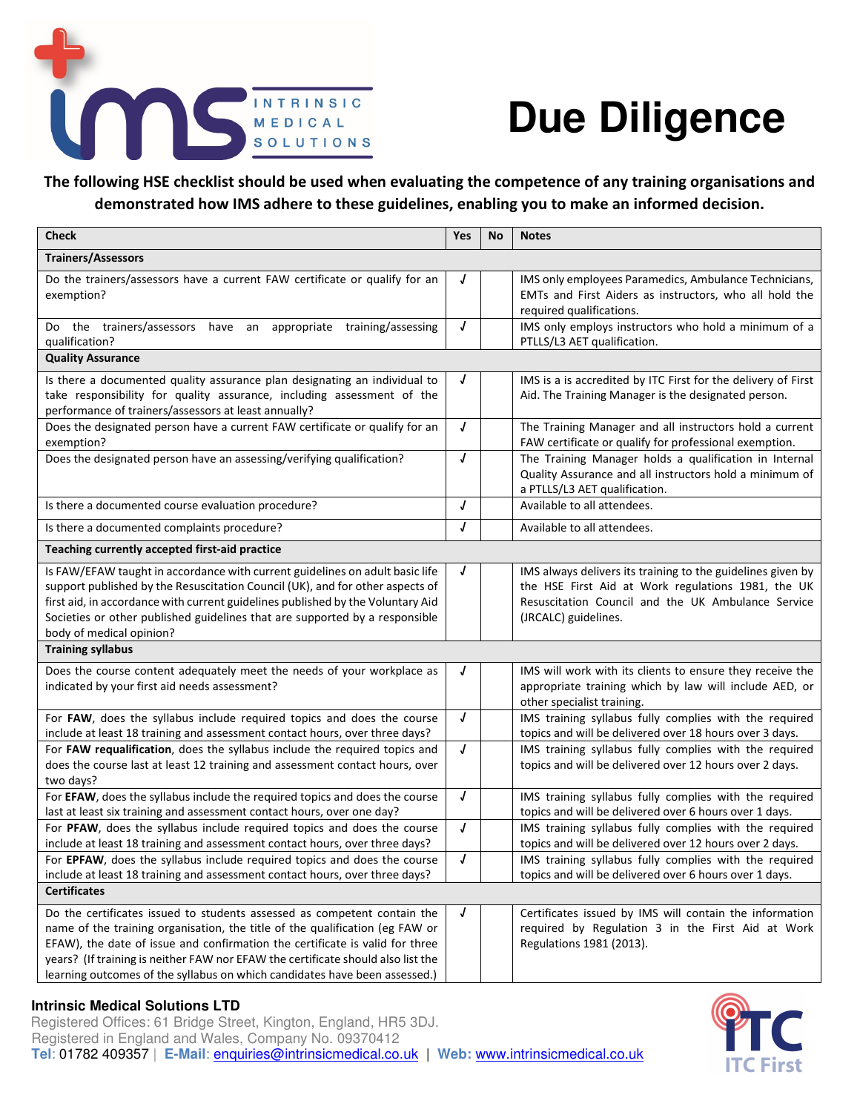

## **Due Diligence**

**The following HSE checklist should be used when evaluating the competence of any training organisations and demonstrated how IMS adhere to these guidelines, enabling you to make an informed decision.** 

| <b>Check</b>                                                                                                                                                                                                                                                                                                                                                                                               | Yes        | <b>No</b> | <b>Notes</b>                                                                                                                                                                                    |
|------------------------------------------------------------------------------------------------------------------------------------------------------------------------------------------------------------------------------------------------------------------------------------------------------------------------------------------------------------------------------------------------------------|------------|-----------|-------------------------------------------------------------------------------------------------------------------------------------------------------------------------------------------------|
| <b>Trainers/Assessors</b>                                                                                                                                                                                                                                                                                                                                                                                  |            |           |                                                                                                                                                                                                 |
| Do the trainers/assessors have a current FAW certificate or qualify for an<br>exemption?                                                                                                                                                                                                                                                                                                                   | J          |           | IMS only employees Paramedics, Ambulance Technicians,<br>EMTs and First Aiders as instructors, who all hold the<br>required qualifications.                                                     |
| Do the trainers/assessors have an appropriate training/assessing<br>qualification?                                                                                                                                                                                                                                                                                                                         | J          |           | IMS only employs instructors who hold a minimum of a<br>PTLLS/L3 AET qualification.                                                                                                             |
| <b>Quality Assurance</b>                                                                                                                                                                                                                                                                                                                                                                                   |            |           |                                                                                                                                                                                                 |
| Is there a documented quality assurance plan designating an individual to<br>take responsibility for quality assurance, including assessment of the<br>performance of trainers/assessors at least annually?                                                                                                                                                                                                | J          |           | IMS is a is accredited by ITC First for the delivery of First<br>Aid. The Training Manager is the designated person.                                                                            |
| Does the designated person have a current FAW certificate or qualify for an<br>exemption?                                                                                                                                                                                                                                                                                                                  | J          |           | The Training Manager and all instructors hold a current<br>FAW certificate or qualify for professional exemption.                                                                               |
| Does the designated person have an assessing/verifying qualification?                                                                                                                                                                                                                                                                                                                                      | $\sqrt{ }$ |           | The Training Manager holds a qualification in Internal<br>Quality Assurance and all instructors hold a minimum of<br>a PTLLS/L3 AET qualification.                                              |
| Is there a documented course evaluation procedure?                                                                                                                                                                                                                                                                                                                                                         | J          |           | Available to all attendees.                                                                                                                                                                     |
| Is there a documented complaints procedure?                                                                                                                                                                                                                                                                                                                                                                | J          |           | Available to all attendees.                                                                                                                                                                     |
| Teaching currently accepted first-aid practice                                                                                                                                                                                                                                                                                                                                                             |            |           |                                                                                                                                                                                                 |
| Is FAW/EFAW taught in accordance with current guidelines on adult basic life<br>support published by the Resuscitation Council (UK), and for other aspects of<br>first aid, in accordance with current guidelines published by the Voluntary Aid<br>Societies or other published guidelines that are supported by a responsible<br>body of medical opinion?                                                | J          |           | IMS always delivers its training to the guidelines given by<br>the HSE First Aid at Work regulations 1981, the UK<br>Resuscitation Council and the UK Ambulance Service<br>(JRCALC) guidelines. |
| <b>Training syllabus</b>                                                                                                                                                                                                                                                                                                                                                                                   |            |           |                                                                                                                                                                                                 |
| Does the course content adequately meet the needs of your workplace as<br>indicated by your first aid needs assessment?                                                                                                                                                                                                                                                                                    | J          |           | IMS will work with its clients to ensure they receive the<br>appropriate training which by law will include AED, or<br>other specialist training.                                               |
| For FAW, does the syllabus include required topics and does the course<br>include at least 18 training and assessment contact hours, over three days?                                                                                                                                                                                                                                                      | J          |           | IMS training syllabus fully complies with the required<br>topics and will be delivered over 18 hours over 3 days.                                                                               |
| For FAW requalification, does the syllabus include the required topics and<br>does the course last at least 12 training and assessment contact hours, over<br>two days?                                                                                                                                                                                                                                    | J          |           | IMS training syllabus fully complies with the required<br>topics and will be delivered over 12 hours over 2 days.                                                                               |
| For EFAW, does the syllabus include the required topics and does the course<br>last at least six training and assessment contact hours, over one day?                                                                                                                                                                                                                                                      | J          |           | IMS training syllabus fully complies with the required<br>topics and will be delivered over 6 hours over 1 days.                                                                                |
| For PFAW, does the syllabus include required topics and does the course<br>include at least 18 training and assessment contact hours, over three days?                                                                                                                                                                                                                                                     | J          |           | IMS training syllabus fully complies with the required<br>topics and will be delivered over 12 hours over 2 days.                                                                               |
| For EPFAW, does the syllabus include required topics and does the course<br>include at least 18 training and assessment contact hours, over three days?<br><b>Certificates</b>                                                                                                                                                                                                                             | J          |           | IMS training syllabus fully complies with the required<br>topics and will be delivered over 6 hours over 1 days.                                                                                |
| Do the certificates issued to students assessed as competent contain the<br>name of the training organisation, the title of the qualification (eg FAW or<br>EFAW), the date of issue and confirmation the certificate is valid for three<br>years? (If training is neither FAW nor EFAW the certificate should also list the<br>learning outcomes of the syllabus on which candidates have been assessed.) | J          |           | Certificates issued by IMS will contain the information<br>required by Regulation 3 in the First Aid at Work<br>Regulations 1981 (2013).                                                        |

## **Intrinsic Medical Solutions LTD**